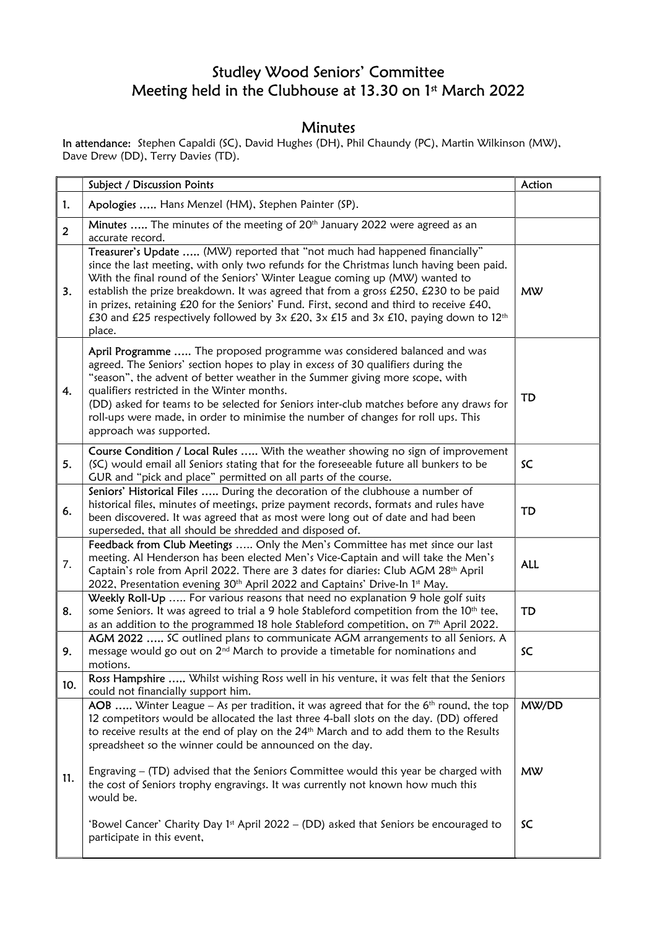## Studley Wood Seniors' Committee Meeting held in the Clubhouse at 13.30 on 1st March 2022

## **Minutes**

In attendance: Stephen Capaldi (SC), David Hughes (DH), Phil Chaundy (PC), Martin Wilkinson (MW), Dave Drew (DD), Terry Davies (TD).

|                | Subject / Discussion Points                                                                                                                                                                                                                                                                                                                                                                                                                                                                                                                          | Action             |
|----------------|------------------------------------------------------------------------------------------------------------------------------------------------------------------------------------------------------------------------------------------------------------------------------------------------------------------------------------------------------------------------------------------------------------------------------------------------------------------------------------------------------------------------------------------------------|--------------------|
| 1.             | Apologies  Hans Menzel (HM), Stephen Painter (SP).                                                                                                                                                                                                                                                                                                                                                                                                                                                                                                   |                    |
| $\overline{2}$ | Minutes  The minutes of the meeting of 20 <sup>th</sup> January 2022 were agreed as an<br>accurate record.                                                                                                                                                                                                                                                                                                                                                                                                                                           |                    |
| 3.             | Treasurer's Update  (MW) reported that "not much had happened financially"<br>since the last meeting, with only two refunds for the Christmas lunch having been paid.<br>With the final round of the Seniors' Winter League coming up (MW) wanted to<br>establish the prize breakdown. It was agreed that from a gross £250, £230 to be paid<br>in prizes, retaining £20 for the Seniors' Fund. First, second and third to receive £40,<br>£30 and £25 respectively followed by 3x £20, 3x £15 and 3x £10, paying down to 12 <sup>th</sup><br>place. | <b>MW</b>          |
| 4.             | April Programme  The proposed programme was considered balanced and was<br>agreed. The Seniors' section hopes to play in excess of 30 qualifiers during the<br>"season", the advent of better weather in the Summer giving more scope, with<br>qualifiers restricted in the Winter months.<br>(DD) asked for teams to be selected for Seniors inter-club matches before any draws for<br>roll-ups were made, in order to minimise the number of changes for roll ups. This<br>approach was supported.                                                | TD                 |
| 5.             | Course Condition / Local Rules  With the weather showing no sign of improvement<br>(SC) would email all Seniors stating that for the foreseeable future all bunkers to be<br>GUR and "pick and place" permitted on all parts of the course.                                                                                                                                                                                                                                                                                                          | SC                 |
| 6.             | Seniors' Historical Files  During the decoration of the clubhouse a number of<br>historical files, minutes of meetings, prize payment records, formats and rules have<br>been discovered. It was agreed that as most were long out of date and had been<br>superseded, that all should be shredded and disposed of.                                                                                                                                                                                                                                  | <b>TD</b>          |
| 7.             | Feedback from Club Meetings  Only the Men's Committee has met since our last<br>meeting. Al Henderson has been elected Men's Vice-Captain and will take the Men's<br>Captain's role from April 2022. There are 3 dates for diaries: Club AGM 28th April<br>2022, Presentation evening 30 <sup>th</sup> April 2022 and Captains' Drive-In 1 <sup>st</sup> May.                                                                                                                                                                                        | <b>ALL</b>         |
| 8.             | Weekly Roll-Up  For various reasons that need no explanation 9 hole golf suits<br>some Seniors. It was agreed to trial a 9 hole Stableford competition from the 10 <sup>th</sup> tee,<br>as an addition to the programmed 18 hole Stableford competition, on 7 <sup>th</sup> April 2022.                                                                                                                                                                                                                                                             | <b>TD</b>          |
| 9.             | AGM 2022  SC outlined plans to communicate AGM arrangements to all Seniors. A<br>message would go out on 2 <sup>nd</sup> March to provide a timetable for nominations and<br>motions.                                                                                                                                                                                                                                                                                                                                                                | SC                 |
| 10.            | Ross Hampshire  Whilst wishing Ross well in his venture, it was felt that the Seniors<br>could not financially support him.                                                                                                                                                                                                                                                                                                                                                                                                                          |                    |
| 11.            | AOB  Winter League - As per tradition, it was agreed that for the 6 <sup>th</sup> round, the top<br>12 competitors would be allocated the last three 4-ball slots on the day. (DD) offered<br>to receive results at the end of play on the 24 <sup>th</sup> March and to add them to the Results<br>spreadsheet so the winner could be announced on the day.<br>Engraving – (TD) advised that the Seniors Committee would this year be charged with<br>the cost of Seniors trophy engravings. It was currently not known how much this<br>would be.  | MW/DD<br><b>MW</b> |
|                | 'Bowel Cancer' Charity Day 1st April 2022 - (DD) asked that Seniors be encouraged to<br>participate in this event,                                                                                                                                                                                                                                                                                                                                                                                                                                   | SC                 |